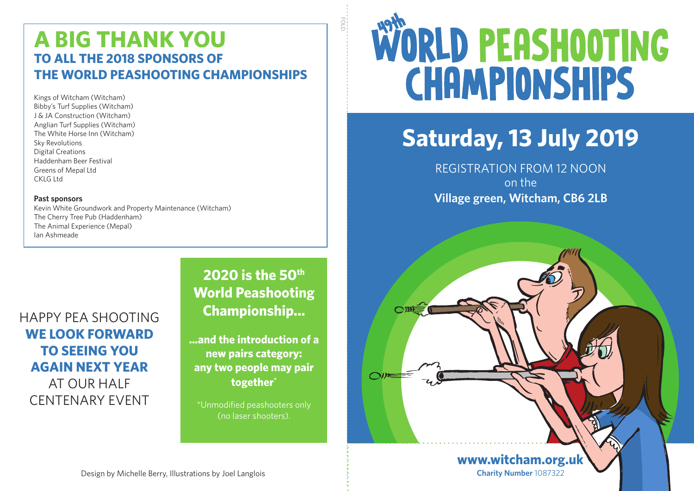### **A BIG THANK YOU TO ALL THE 2018 SPONSORS OF THE WORLD PEASHOOTING CHAMPIONSHIPS**

Kings of Witcham (Witcham) Bibby's Turf Supplies (Witcham) J & JA Construction (Witcham) Anglian Turf Supplies (Witcham) The White Horse Inn (Witcham) Sky Revolutions Digital Creations Haddenham Beer Festival Greens of Mepal Ltd CKLG Ltd

#### **Past sponsors**

Kevin White Groundwork and Property Maintenance (Witcham) The Cherry Tree Pub (Haddenham) The Animal Experience (Mepal) Ian Ashmeade

HAPPY PEA SHOOTING **WE LOOK FORWARD TO SEEING YOU AGAIN NEXT YEAR**  AT OUR HALF CENTENARY EVENT

### **2020 is the 50th World Peashooting Championship...**

ö

○进三

**...and the introduction of a new pairs category: any two people may pair together\***

\*Unmodified peashooters only (no laser shooters).

# WORLD PEASHOOTING **CHAMPIONSHIPS**

## **Saturday, 13 July 2019**

REGISTRATION FROM 12 NOON on the **Village green, Witcham, CB6 2LB**

> **Charity Number** 1087322 **www.witcham.org.uk**